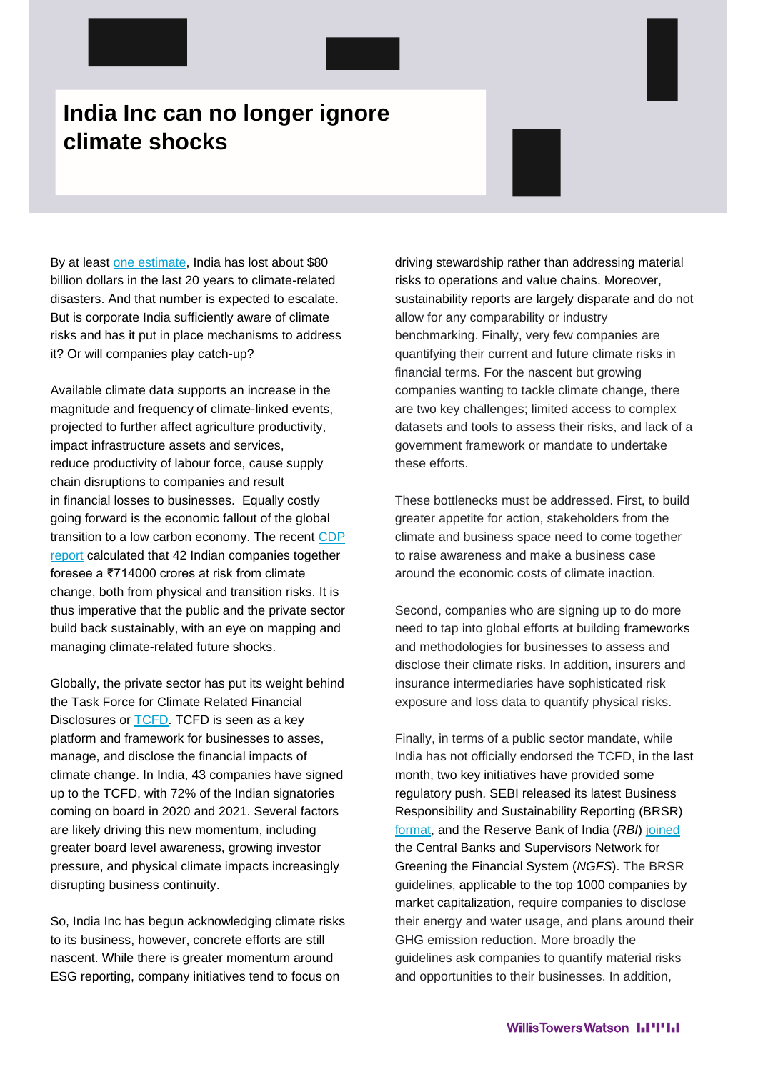## **India Inc can no longer ignore climate shocks**

By at least [one estimate,](https://www.undrr.org/publication/economic-losses-poverty-disasters-1998-2017) India has lost about \$80 billion dollars in the last 20 years to climate-related disasters. And that number is expected to escalate. But is corporate India sufficiently aware of climate risks and has it put in place mechanisms to address it? Or will companies play catch-up?

Available climate data supports an increase in the magnitude and frequency of climate-linked events, projected to further affect agriculture productivity, impact infrastructure assets and services, reduce productivity of labour force, cause supply chain disruptions to companies and result in financial losses to businesses. Equally costly going forward is the economic fallout of the global transition to a low carbon economy. The recent [CDP](https://6fefcbb86e61af1b2fc4-c70d8ead6ced550b4d987d7c03fcdd1d.ssl.cf3.rackcdn.com/cms/reports/documents/000/005/595/original/CDP_India_Report_2020.pdf?1615972085)  [report](https://6fefcbb86e61af1b2fc4-c70d8ead6ced550b4d987d7c03fcdd1d.ssl.cf3.rackcdn.com/cms/reports/documents/000/005/595/original/CDP_India_Report_2020.pdf?1615972085) calculated that 42 Indian companies together foresee a ₹714000 crores at risk from climate change, both from physical and transition risks. It is thus imperative that the public and the private sector build back sustainably, with an eye on mapping and managing climate-related future shocks.

Globally, the private sector has put its weight behind the Task Force for Climate Related Financial Disclosures or [TCFD.](https://www.fsb-tcfd.org/) TCFD is seen as a key platform and framework for businesses to asses, manage, and disclose the financial impacts of climate change. In India, 43 companies have signed up to the TCFD, with 72% of the Indian signatories coming on board in 2020 and 2021. Several factors are likely driving this new momentum, including greater board level awareness, growing investor pressure, and physical climate impacts increasingly disrupting business continuity.

So, India Inc has begun acknowledging climate risks to its business, however, concrete efforts are still nascent. While there is greater momentum around ESG reporting, company initiatives tend to focus on

driving stewardship rather than addressing material risks to operations and value chains. Moreover, sustainability reports are largely disparate and do not allow for any comparability or industry benchmarking. Finally, very few companies are quantifying their current and future climate risks in financial terms. For the nascent but growing companies wanting to tackle climate change, there are two key challenges; limited access to complex datasets and tools to assess their risks, and lack of a government framework or mandate to undertake these efforts.

These bottlenecks must be addressed. First, to build greater appetite for action, stakeholders from the climate and business space need to come together to raise awareness and make a business case around the economic costs of climate inaction.

Second, companies who are signing up to do more need to tap into global efforts at building frameworks and methodologies for businesses to assess and disclose their climate risks. In addition, insurers and insurance intermediaries have sophisticated risk exposure and loss data to quantify physical risks.

Finally, in terms of a public sector mandate, while India has not officially endorsed the TCFD, in the last month, two key initiatives have provided some regulatory push. SEBI released its latest Business Responsibility and Sustainability Reporting (BRSR) [format,](https://www.sebi.gov.in/legal/circulars/may-2021/business-responsibility-and-sustainability-reporting-by-listed-entities_50096.html) and the Reserve Bank of India (*RBI*) [joined](https://www.rbi.org.in/Scripts/BS_PressReleaseDisplay.aspx?prid=51496) the Central Banks and Supervisors Network for Greening the Financial System (*NGFS*). The BRSR guidelines, applicable to the top 1000 companies by market capitalization, require companies to disclose their energy and water usage, and plans around their GHG emission reduction. More broadly the guidelines ask companies to quantify material risks and opportunities to their businesses. In addition,